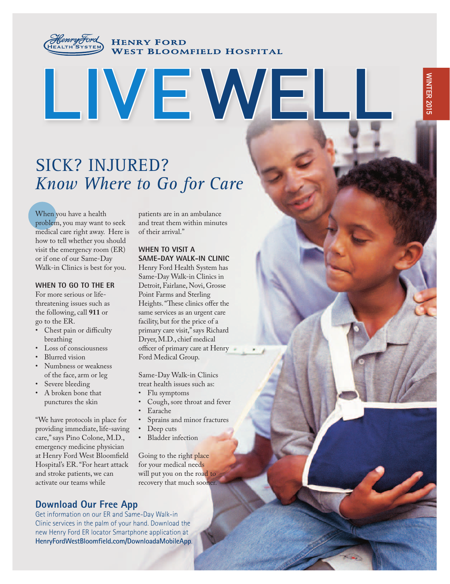

**HENRY FORD WEST BLOOMFIELD HOSPITAL** 

# **LIVEWELL**

# SICK? INJURED? *Know Where to Go for Care*

When you have a health problem, you may want to seek medical care right away. Here is how to tell whether you should visit the emergency room (ER) or if one of our Same-Day Walk-in Clinics is best for you.

#### **WHEN TO GO TO THE ER**

For more serious or lifethreatening issues such as the following, call **911** or go to the ER.

- Chest pain or difficulty breathing
- Loss of consciousness
- Blurred vision
- Numbness or weakness of the face, arm or leg
- Severe bleeding
- A broken bone that punctures the skin

"We have protocols in place for providing immediate, life-saving care," says Pino Colone, M.D., emergency medicine physician at Henry Ford West Bloomfield Hospital's ER. "For heart attack and stroke patients, we can activate our teams while

patients are in an ambulance and treat them within minutes of their arrival."

#### **WHEN TO VISIT A SAME-DAY WALK-IN CLINIC**

Henry Ford Health System has Same-Day Walk-in Clinics in Detroit, Fairlane, Novi, Grosse Point Farms and Sterling Heights. "These clinics offer the same services as an urgent care facility, but for the price of a primary care visit," says Richard Dryer, M.D., chief medical officer of primary care at Henry Ford Medical Group.

Same-Day Walk-in Clinics treat health issues such as:

- Flu symptoms
- Cough, sore throat and fever
- Earache
- Sprains and minor fractures
- Deep cuts
- **Bladder** infection

Going to the right place for your medical needs will put you on the road to recovery that much sooner.

## **Download Our Free App**

Get information on our ER and Same-Day Walk-in Clinic services in the palm of your hand. Download the new Henry Ford ER locator Smartphone application at **HenryFordWestBloomfield.com/DownloadaMobileApp**.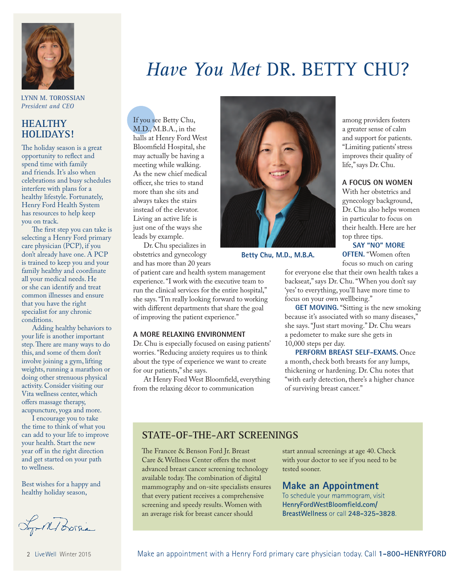

**LYNN M. TOROSSIAN** *President and CEO*

## **HEALTHY HOLIDAYS!**

The holiday season is a great opportunity to reflect and spend time with family and friends. It's also when celebrations and busy schedules interfere with plans for a healthy lifestyle. Fortunately, Henry Ford Health System has resources to help keep you on track.

The first step you can take is selecting a Henry Ford primary care physician (PCP), if you don't already have one. A PCP is trained to keep you and your family healthy and coordinate all your medical needs. He or she can identify and treat common illnesses and ensure that you have the right specialist for any chronic conditions.

Adding healthy behaviors to your life is another important step. There are many ways to do this, and some of them don't involve joining a gym, lifting weights, running a marathon or doing other strenuous physical activity. Consider visiting our Vita wellness center, which offers massage therapy, acupuncture, yoga and more.

I encourage you to take the time to think of what you can add to your life to improve your health. Start the new year off in the right direction and get started on your path to wellness.

Best wishes for a happy and healthy holiday season,

Lop M Borsia

# *Have You Met* DR. BETTY CHU?

If you see Betty Chu, M.D., M.B.A., in the halls at Henry Ford West Bloomfield Hospital, she may actually be having a meeting while walking. As the new chief medical officer, she tries to stand more than she sits and always takes the stairs instead of the elevator. Living an active life is just one of the ways she leads by example.

Dr. Chu specializes in obstetrics and gynecology and has more than 20 years

of patient care and health system management experience. "I work with the executive team to run the clinical services for the entire hospital," she says. "I'm really looking forward to working with different departments that share the goal of improving the patient experience."

#### **A MORE RELAXING ENVIRONMENT**

Dr. Chu is especially focused on easing patients' worries. "Reducing anxiety requires us to think about the type of experience we want to create for our patients," she says.

At Henry Ford West Bloomfield, everything from the relaxing décor to communication



**Betty Chu, M.D., M.B.A.**

among providers fosters a greater sense of calm and support for patients. "Limiting patients' stress improves their quality of life," says Dr. Chu.

#### **A FOCUS ON WOMEN**

With her obstetrics and gynecology background, Dr. Chu also helps women in particular to focus on their health. Here are her top three tips.

**SAY "NO" MORE** 

**OFTEN.** "Women often focus so much on caring

for everyone else that their own health takes a backseat," says Dr. Chu. "When you don't say 'yes' to everything, you'll have more time to focus on your own wellbeing."

**GET MOVING.** "Sitting is the new smoking because it's associated with so many diseases," she says. "Just start moving." Dr. Chu wears a pedometer to make sure she gets in 10,000 steps per day.

**PERFORM BREAST SELF-EXAMS.** Once a month, check both breasts for any lumps, thickening or hardening. Dr. Chu notes that "with early detection, there's a higher chance of surviving breast cancer."

#### **STATE-OF-THE-ART SCREENINGS**

The Francee & Benson Ford Jr. Breast Care & Wellness Center offers the most advanced breast cancer screening technology available today. The combination of digital mammography and on-site specialists ensures that every patient receives a comprehensive screening and speedy results. Women with an average risk for breast cancer should

start annual screenings at age 40. Check with your doctor to see if you need to be tested sooner.

#### **Make an Appointment**

To schedule your mammogram, visit **HenryFordWestBloomfield.com/ BreastWellness** or call **248-325-3828**.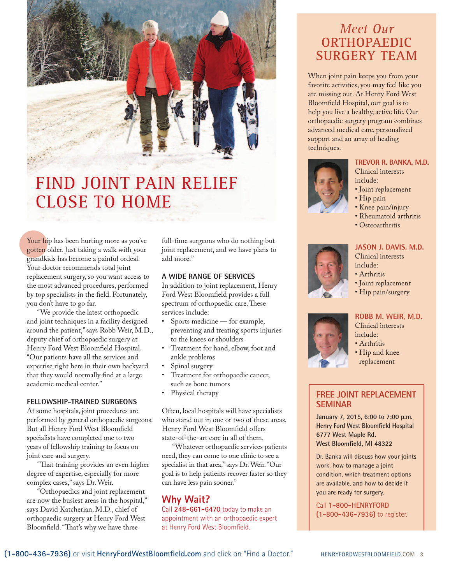

# FIND JOINT PAIN RELIEF CLOSE TO HOME

Your hip has been hurting more as you've gotten older. Just taking a walk with your grandkids has become a painful ordeal. Your doctor recommends total joint replacement surgery, so you want access to the most advanced procedures, performed by top specialists in the field. Fortunately, you don't have to go far.

"We provide the latest orthopaedic and joint techniques in a facility designed around the patient," says Robb Weir, M.D., deputy chief of orthopaedic surgery at Henry Ford West Bloomfield Hospital. "Our patients have all the services and expertise right here in their own backyard that they would normally find at a large academic medical center."

#### **FELLOWSHIP-TRAINED SURGEONS**

At some hospitals, joint procedures are performed by general orthopaedic surgeons. But all Henry Ford West Bloomfield specialists have completed one to two years of fellowship training to focus on joint care and surgery.

"That training provides an even higher degree of expertise, especially for more complex cases," says Dr. Weir.

"Orthopaedics and joint replacement are now the busiest areas in the hospital," says David Katcherian, M.D., chief of orthopaedic surgery at Henry Ford West Bloomfield. "That's why we have three

full-time surgeons who do nothing but joint replacement, and we have plans to add more."

#### **A WIDE RANGE OF SERVICES**

In addition to joint replacement, Henry Ford West Bloomfield provides a full spectrum of orthopaedic care. These services include:

- Sports medicine for example, preventing and treating sports injuries to the knees or shoulders
- Treatment for hand, elbow, foot and ankle problems
- Spinal surgery
- Treatment for orthopaedic cancer, such as bone tumors
- Physical therapy

Often, local hospitals will have specialists who stand out in one or two of these areas. Henry Ford West Bloomfield offers state-of-the-art care in all of them.

"Whatever orthopaedic services patients need, they can come to one clinic to see a specialist in that area," says Dr. Weir. "Our goal is to help patients recover faster so they can have less pain sooner."

## **Why Wait?**

Call **248-661-6470** today to make an appointment with an orthopaedic expert at Henry Ford West Bloomfield.

## *Meet Our*  **ORTHOPAEDIC SURGERY TEAM**

When joint pain keeps you from your favorite activities, you may feel like you are missing out. At Henry Ford West Bloomfield Hospital, our goal is to help you live a healthy, active life. Our orthopaedic surgery program combines advanced medical care, personalized support and an array of healing techniques.

#### **TREVOR R. BANKA, M.D.**

Clinical interests include:

- Joint replacement
- Hip pain
- Knee pain/injury
- Rheumatoid arthritis
- Osteoarthritis



#### **JASON J. DAVIS, M.D.** Clinical interests include:

- · Arthritis
- 
- Joint replacement
- Hip pain/surgery

## **ROBB M. WEIR, M.D.**

Clinical interests include:

- · Arthritis
- Hip and knee replacement

#### **FREE JOINT REPLACEMENT SEMINAR**

**January 7, 2015, 6:00 to 7:00 p.m. Henry Ford West Bloomfield Hospital 6777 West Maple Rd. West Bloomfield, MI 48322**

Dr. Banka will discuss how your joints work, how to manage a joint condition, which treatment options are available, and how to decide if you are ready for surgery.

Call **1-800-HENRYFORD (1-800-436-7936)** to register.